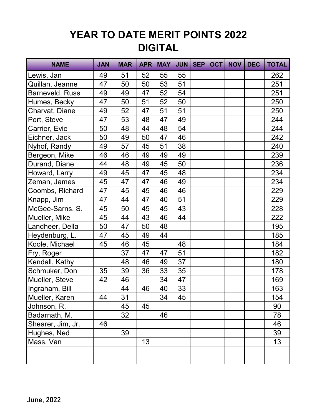## **YEAR TO DATE MERIT POINTS 2022 DIGITAL**

| <b>NAME</b>       | <b>JAN</b> | <b>MAR</b> | <b>APR</b> | <b>MAY</b> | <b>JUN</b> | <b>SEP</b> | <b>OCT</b> | <b>NOV</b> | <b>DEC</b> | <b>TOTAL</b> |
|-------------------|------------|------------|------------|------------|------------|------------|------------|------------|------------|--------------|
| Lewis, Jan        | 49         | 51         | 52         | 55         | 55         |            |            |            |            | 262          |
| Quillan, Jeanne   | 47         | 50         | 50         | 53         | 51         |            |            |            |            | 251          |
| Barneveld, Russ   | 49         | 49         | 47         | 52         | 54         |            |            |            |            | 251          |
| Humes, Becky      | 47         | 50         | 51         | 52         | 50         |            |            |            |            | 250          |
| Charvat, Diane    | 49         | 52         | 47         | 51         | 51         |            |            |            |            | 250          |
| Port, Steve       | 47         | 53         | 48         | 47         | 49         |            |            |            |            | 244          |
| Carrier, Evie     | 50         | 48         | 44         | 48         | 54         |            |            |            |            | 244          |
| Eichner, Jack     | 50         | 49         | 50         | 47         | 46         |            |            |            |            | 242          |
| Nyhof, Randy      | 49         | 57         | 45         | 51         | 38         |            |            |            |            | 240          |
| Bergeon, Mike     | 46         | 46         | 49         | 49         | 49         |            |            |            |            | 239          |
| Durand, Diane     | 44         | 48         | 49         | 45         | 50         |            |            |            |            | 236          |
| Howard, Larry     | 49         | 45         | 47         | 45         | 48         |            |            |            |            | 234          |
| Zeman, James      | 45         | 47         | 47         | 46         | 49         |            |            |            |            | 234          |
| Coombs, Richard   | 47         | 45         | 45         | 46         | 46         |            |            |            |            | 229          |
| Knapp, Jim        | 47         | 44         | 47         | 40         | 51         |            |            |            |            | 229          |
| McGee-Sarns, S.   | 45         | 50         | 45         | 45         | 43         |            |            |            |            | 228          |
| Mueller, Mike     | 45         | 44         | 43         | 46         | 44         |            |            |            |            | 222          |
| Landheer, Della   | 50         | 47         | 50         | 48         |            |            |            |            |            | 195          |
| Heydenburg, L.    | 47         | 45         | 49         | 44         |            |            |            |            |            | 185          |
| Koole, Michael    | 45         | 46         | 45         |            | 48         |            |            |            |            | 184          |
| Fry, Roger        |            | 37         | 47         | 47         | 51         |            |            |            |            | 182          |
| Kendall, Kathy    |            | 48         | 46         | 49         | 37         |            |            |            |            | 180          |
| Schmuker, Don     | 35         | 39         | 36         | 33         | 35         |            |            |            |            | 178          |
| Mueller, Steve    | 42         | 46         |            | 34         | 47         |            |            |            |            | 169          |
| Ingraham, Bill    |            | 44         | 46         | 40         | 33         |            |            |            |            | 163          |
| Mueller, Karen    | 44         | 31         |            | 34         | 45         |            |            |            |            | 154          |
| Johnson, R.       |            | 45         | 45         |            |            |            |            |            |            | 90           |
| Badarnath, M.     |            | 32         |            | 46         |            |            |            |            |            | 78           |
| Shearer, Jim, Jr. | 46         |            |            |            |            |            |            |            |            | 46           |
| Hughes, Ned       |            | 39         |            |            |            |            |            |            |            | 39           |
| Mass, Van         |            |            | 13         |            |            |            |            |            |            | 13           |
|                   |            |            |            |            |            |            |            |            |            |              |
|                   |            |            |            |            |            |            |            |            |            |              |